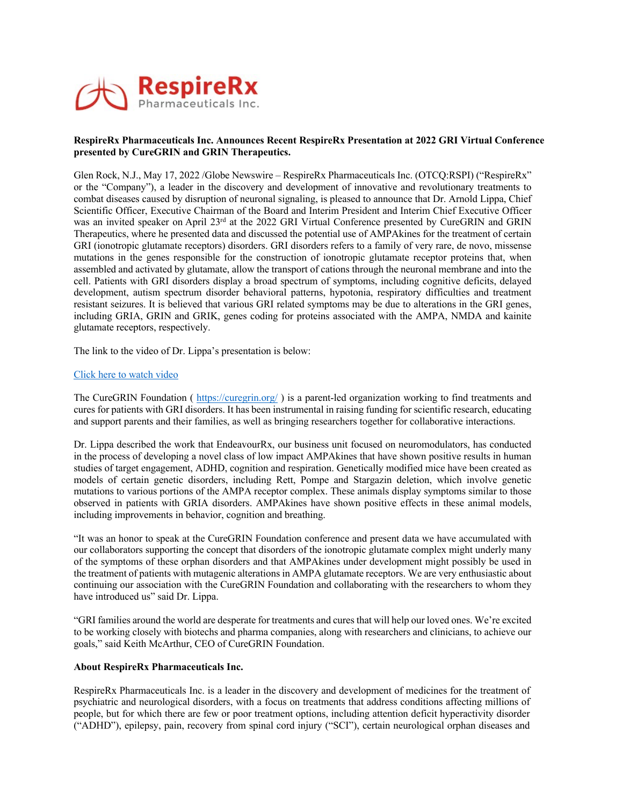

# **RespireRx Pharmaceuticals Inc. Announces Recent RespireRx Presentation at 2022 GRI Virtual Conference presented by CureGRIN and GRIN Therapeutics.**

Glen Rock, N.J., May 17, 2022 /Globe Newswire – RespireRx Pharmaceuticals Inc. (OTCQ:RSPI) ("RespireRx" or the "Company"), a leader in the discovery and development of innovative and revolutionary treatments to combat diseases caused by disruption of neuronal signaling, is pleased to announce that Dr. Arnold Lippa, Chief Scientific Officer, Executive Chairman of the Board and Interim President and Interim Chief Executive Officer was an invited speaker on April 23<sup>rd</sup> at the 2022 GRI Virtual Conference presented by CureGRIN and GRIN Therapeutics, where he presented data and discussed the potential use of AMPAkines for the treatment of certain GRI (ionotropic glutamate receptors) disorders. GRI disorders refers to a family of very rare, de novo, missense mutations in the genes responsible for the construction of ionotropic glutamate receptor proteins that, when assembled and activated by glutamate, allow the transport of cations through the neuronal membrane and into the cell. Patients with GRI disorders display a broad spectrum of symptoms, including cognitive deficits, delayed development, autism spectrum disorder behavioral patterns, hypotonia, respiratory difficulties and treatment resistant seizures. It is believed that various GRI related symptoms may be due to alterations in the GRI genes, including GRIA, GRIN and GRIK, genes coding for proteins associated with the AMPA, NMDA and kainite glutamate receptors, respectively.

The link to the video of Dr. Lippa's presentation is below:

### Click here to watch video

The CureGRIN Foundation ( https://curegrin.org/ ) is a parent-led organization working to find treatments and cures for patients with GRI disorders. It has been instrumental in raising funding for scientific research, educating and support parents and their families, as well as bringing researchers together for collaborative interactions.

Dr. Lippa described the work that EndeavourRx, our business unit focused on neuromodulators, has conducted in the process of developing a novel class of low impact AMPAkines that have shown positive results in human studies of target engagement, ADHD, cognition and respiration. Genetically modified mice have been created as models of certain genetic disorders, including Rett, Pompe and Stargazin deletion, which involve genetic mutations to various portions of the AMPA receptor complex. These animals display symptoms similar to those observed in patients with GRIA disorders. AMPAkines have shown positive effects in these animal models, including improvements in behavior, cognition and breathing.

"It was an honor to speak at the CureGRIN Foundation conference and present data we have accumulated with our collaborators supporting the concept that disorders of the ionotropic glutamate complex might underly many of the symptoms of these orphan disorders and that AMPAkines under development might possibly be used in the treatment of patients with mutagenic alterations in AMPA glutamate receptors. We are very enthusiastic about continuing our association with the CureGRIN Foundation and collaborating with the researchers to whom they have introduced us" said Dr. Lippa.

"GRI families around the world are desperate for treatments and cures that will help our loved ones. We're excited to be working closely with biotechs and pharma companies, along with researchers and clinicians, to achieve our goals," said Keith McArthur, CEO of CureGRIN Foundation.

#### **About RespireRx Pharmaceuticals Inc.**

RespireRx Pharmaceuticals Inc. is a leader in the discovery and development of medicines for the treatment of psychiatric and neurological disorders, with a focus on treatments that address conditions affecting millions of people, but for which there are few or poor treatment options, including attention deficit hyperactivity disorder ("ADHD"), epilepsy, pain, recovery from spinal cord injury ("SCI"), certain neurological orphan diseases and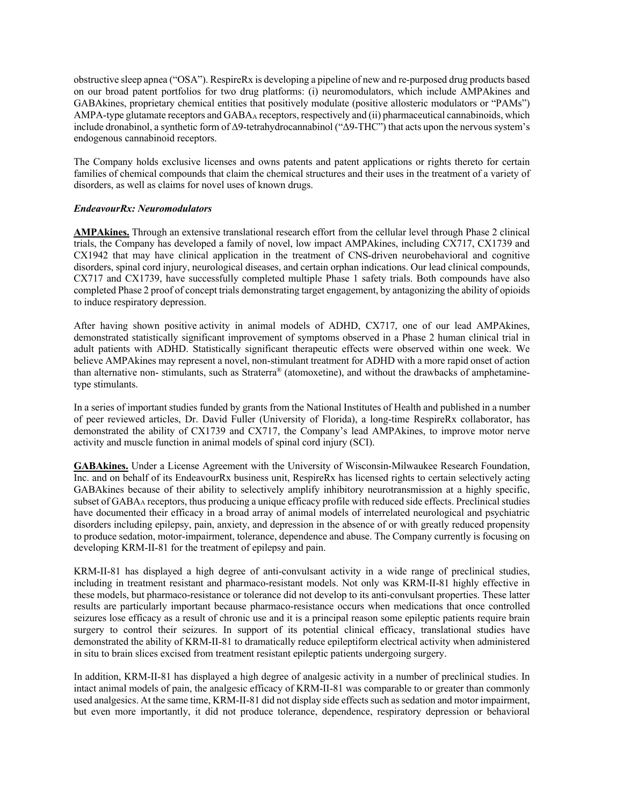obstructive sleep apnea ("OSA"). RespireRx is developing a pipeline of new and re-purposed drug products based on our broad patent portfolios for two drug platforms: (i) neuromodulators, which include AMPAkines and GABAkines, proprietary chemical entities that positively modulate (positive allosteric modulators or "PAMs") AMPA-type glutamate receptors and GABAA receptors, respectively and (ii) pharmaceutical cannabinoids, which include dronabinol, a synthetic form of ∆9-tetrahydrocannabinol ("Δ9-THC") that acts upon the nervous system's endogenous cannabinoid receptors.

The Company holds exclusive licenses and owns patents and patent applications or rights thereto for certain families of chemical compounds that claim the chemical structures and their uses in the treatment of a variety of disorders, as well as claims for novel uses of known drugs.

### *EndeavourRx: Neuromodulators*

**AMPAkines.** Through an extensive translational research effort from the cellular level through Phase 2 clinical trials, the Company has developed a family of novel, low impact AMPAkines, including CX717, CX1739 and CX1942 that may have clinical application in the treatment of CNS-driven neurobehavioral and cognitive disorders, spinal cord injury, neurological diseases, and certain orphan indications. Our lead clinical compounds, CX717 and CX1739, have successfully completed multiple Phase 1 safety trials. Both compounds have also completed Phase 2 proof of concept trials demonstrating target engagement, by antagonizing the ability of opioids to induce respiratory depression.

After having shown positive activity in animal models of ADHD, CX717, one of our lead AMPAkines, demonstrated statistically significant improvement of symptoms observed in a Phase 2 human clinical trial in adult patients with ADHD. Statistically significant therapeutic effects were observed within one week. We believe AMPAkines may represent a novel, non-stimulant treatment for ADHD with a more rapid onset of action than alternative non- stimulants, such as Straterra® (atomoxetine), and without the drawbacks of amphetaminetype stimulants.

In a series of important studies funded by grants from the National Institutes of Health and published in a number of peer reviewed articles, Dr. David Fuller (University of Florida), a long-time RespireRx collaborator, has demonstrated the ability of CX1739 and CX717, the Company's lead AMPAkines, to improve motor nerve activity and muscle function in animal models of spinal cord injury (SCI).

**GABAkines.** Under a License Agreement with the University of Wisconsin-Milwaukee Research Foundation, Inc. and on behalf of its EndeavourRx business unit, RespireRx has licensed rights to certain selectively acting GABAkines because of their ability to selectively amplify inhibitory neurotransmission at a highly specific, subset of GABAA receptors, thus producing a unique efficacy profile with reduced side effects. Preclinical studies have documented their efficacy in a broad array of animal models of interrelated neurological and psychiatric disorders including epilepsy, pain, anxiety, and depression in the absence of or with greatly reduced propensity to produce sedation, motor-impairment, tolerance, dependence and abuse. The Company currently is focusing on developing KRM-II-81 for the treatment of epilepsy and pain.

KRM-II-81 has displayed a high degree of anti-convulsant activity in a wide range of preclinical studies, including in treatment resistant and pharmaco-resistant models. Not only was KRM-II-81 highly effective in these models, but pharmaco-resistance or tolerance did not develop to its anti-convulsant properties. These latter results are particularly important because pharmaco-resistance occurs when medications that once controlled seizures lose efficacy as a result of chronic use and it is a principal reason some epileptic patients require brain surgery to control their seizures. In support of its potential clinical efficacy, translational studies have demonstrated the ability of KRM-II-81 to dramatically reduce epileptiform electrical activity when administered in situ to brain slices excised from treatment resistant epileptic patients undergoing surgery.

In addition, KRM-II-81 has displayed a high degree of analgesic activity in a number of preclinical studies. In intact animal models of pain, the analgesic efficacy of KRM-II-81 was comparable to or greater than commonly used analgesics. At the same time, KRM-II-81 did not display side effects such as sedation and motor impairment, but even more importantly, it did not produce tolerance, dependence, respiratory depression or behavioral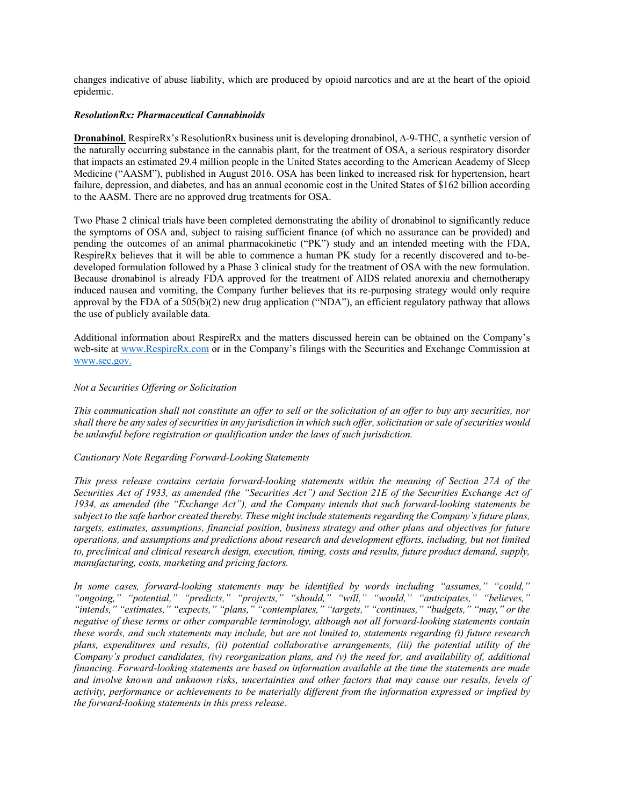changes indicative of abuse liability, which are produced by opioid narcotics and are at the heart of the opioid epidemic.

#### *ResolutionRx: Pharmaceutical Cannabinoids*

**Dronabinol**. RespireRx's ResolutionRx business unit is developing dronabinol, ∆-9-THC, a synthetic version of the naturally occurring substance in the cannabis plant, for the treatment of OSA, a serious respiratory disorder that impacts an estimated 29.4 million people in the United States according to the American Academy of Sleep Medicine ("AASM"), published in August 2016. OSA has been linked to increased risk for hypertension, heart failure, depression, and diabetes, and has an annual economic cost in the United States of \$162 billion according to the AASM. There are no approved drug treatments for OSA.

Two Phase 2 clinical trials have been completed demonstrating the ability of dronabinol to significantly reduce the symptoms of OSA and, subject to raising sufficient finance (of which no assurance can be provided) and pending the outcomes of an animal pharmacokinetic ("PK") study and an intended meeting with the FDA, RespireRx believes that it will be able to commence a human PK study for a recently discovered and to-bedeveloped formulation followed by a Phase 3 clinical study for the treatment of OSA with the new formulation. Because dronabinol is already FDA approved for the treatment of AIDS related anorexia and chemotherapy induced nausea and vomiting, the Company further believes that its re-purposing strategy would only require approval by the FDA of a 505(b)(2) new drug application ("NDA"), an efficient regulatory pathway that allows the use of publicly available data.

Additional information about RespireRx and the matters discussed herein can be obtained on the Company's web-site at www.RespireRx.com or in the Company's filings with the Securities and Exchange Commission at www.sec.gov.

## *Not a Securities Offering or Solicitation*

*This communication shall not constitute an offer to sell or the solicitation of an offer to buy any securities, nor shall there be any sales of securities in any jurisdiction in which such offer, solicitation or sale of securities would be unlawful before registration or qualification under the laws of such jurisdiction.*

#### *Cautionary Note Regarding Forward-Looking Statements*

*This press release contains certain forward-looking statements within the meaning of Section 27A of the Securities Act of 1933, as amended (the "Securities Act") and Section 21E of the Securities Exchange Act of 1934, as amended (the "Exchange Act"), and the Company intends that such forward-looking statements be subject to the safe harbor created thereby. These might include statements regarding the Company's future plans, targets, estimates, assumptions, financial position, business strategy and other plans and objectives for future operations, and assumptions and predictions about research and development efforts, including, but not limited to, preclinical and clinical research design, execution, timing, costs and results, future product demand, supply, manufacturing, costs, marketing and pricing factors.*

*In some cases, forward-looking statements may be identified by words including "assumes," "could," "ongoing," "potential," "predicts," "projects," "should," "will," "would," "anticipates," "believes," "intends," "estimates," "expects," "plans," "contemplates," "targets," "continues," "budgets," "may," or the negative of these terms or other comparable terminology, although not all forward-looking statements contain these words, and such statements may include, but are not limited to, statements regarding (i) future research plans, expenditures and results, (ii) potential collaborative arrangements, (iii) the potential utility of the Company's product candidates, (iv) reorganization plans, and (v) the need for, and availability of, additional financing. Forward-looking statements are based on information available at the time the statements are made and involve known and unknown risks, uncertainties and other factors that may cause our results, levels of activity, performance or achievements to be materially different from the information expressed or implied by the forward-looking statements in this press release.*